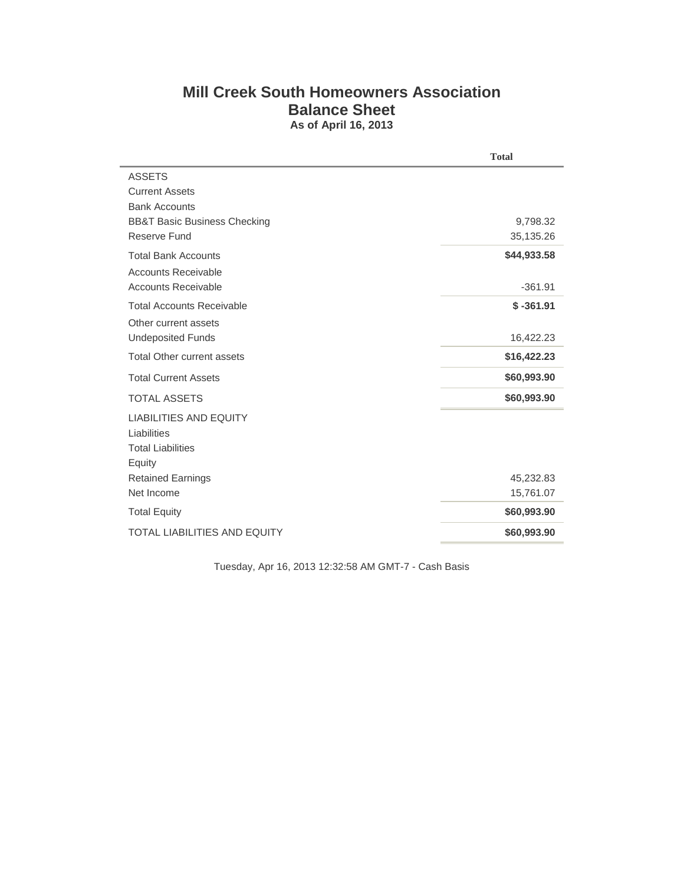## **Mill Creek South Homeowners Association Balance Sheet As of April 16, 2013**

|                                         | <b>Total</b> |
|-----------------------------------------|--------------|
| <b>ASSETS</b>                           |              |
| <b>Current Assets</b>                   |              |
| <b>Bank Accounts</b>                    |              |
| <b>BB&amp;T Basic Business Checking</b> | 9,798.32     |
| Reserve Fund                            | 35,135.26    |
| <b>Total Bank Accounts</b>              | \$44,933.58  |
| <b>Accounts Receivable</b>              |              |
| <b>Accounts Receivable</b>              | $-361.91$    |
| <b>Total Accounts Receivable</b>        | $$ -361.91$  |
| Other current assets                    |              |
| <b>Undeposited Funds</b>                | 16,422.23    |
| <b>Total Other current assets</b>       | \$16,422.23  |
| <b>Total Current Assets</b>             | \$60,993.90  |
| <b>TOTAL ASSETS</b>                     | \$60,993.90  |
| <b>LIABILITIES AND EQUITY</b>           |              |
| Liabilities                             |              |
| <b>Total Liabilities</b>                |              |
| Equity                                  |              |
| <b>Retained Earnings</b>                | 45,232.83    |
| Net Income                              | 15,761.07    |
| <b>Total Equity</b>                     | \$60,993.90  |
| <b>TOTAL LIABILITIES AND EQUITY</b>     | \$60,993.90  |

Tuesday, Apr 16, 2013 12:32:58 AM GMT-7 - Cash Basis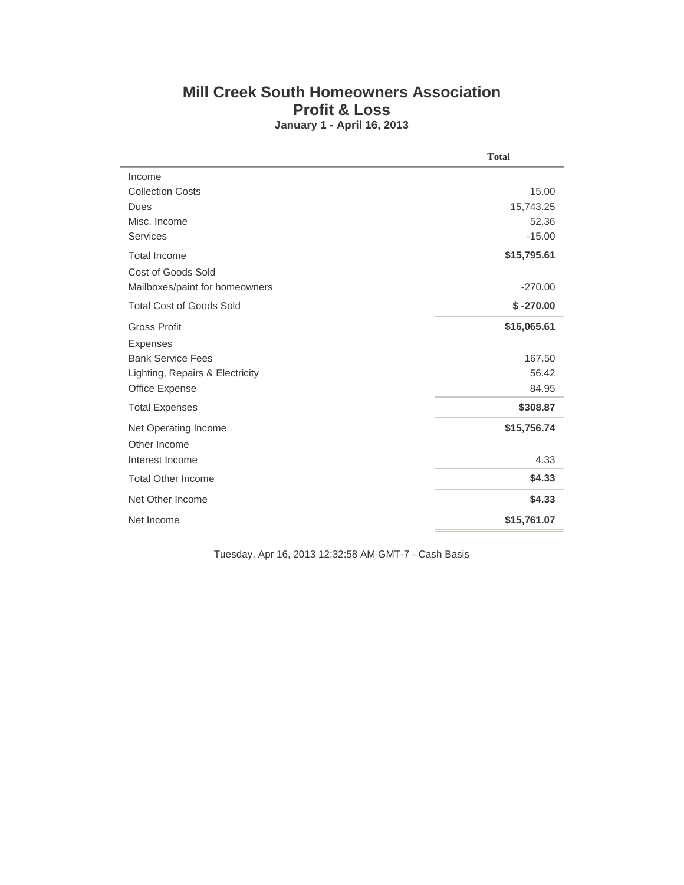## **Mill Creek South Homeowners Association Profit & Loss January 1 - April 16, 2013**

|                                 | <b>Total</b> |
|---------------------------------|--------------|
| Income                          |              |
| <b>Collection Costs</b>         | 15.00        |
| Dues                            | 15,743.25    |
| Misc. Income                    | 52.36        |
| <b>Services</b>                 | $-15.00$     |
| <b>Total Income</b>             | \$15,795.61  |
| Cost of Goods Sold              |              |
| Mailboxes/paint for homeowners  | $-270.00$    |
| <b>Total Cost of Goods Sold</b> | $$ -270.00$  |
| <b>Gross Profit</b>             | \$16,065.61  |
| <b>Expenses</b>                 |              |
| <b>Bank Service Fees</b>        | 167.50       |
| Lighting, Repairs & Electricity | 56.42        |
| Office Expense                  | 84.95        |
| <b>Total Expenses</b>           | \$308.87     |
| Net Operating Income            | \$15,756.74  |
| Other Income                    |              |
| Interest Income                 | 4.33         |
| <b>Total Other Income</b>       | \$4.33       |
| Net Other Income                | \$4.33       |
| Net Income                      | \$15,761.07  |

Tuesday, Apr 16, 2013 12:32:58 AM GMT-7 - Cash Basis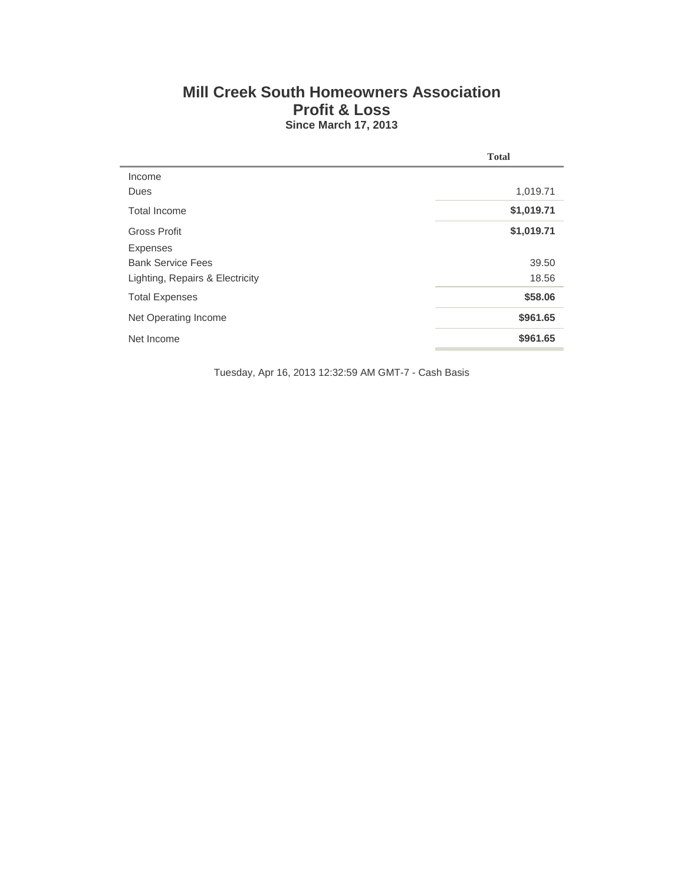## **Mill Creek South Homeowners Association Profit & Loss Since March 17, 2013**

|                                 | <b>Total</b> |  |
|---------------------------------|--------------|--|
| Income                          |              |  |
| Dues                            | 1,019.71     |  |
| Total Income                    | \$1,019.71   |  |
| Gross Profit                    | \$1,019.71   |  |
| <b>Expenses</b>                 |              |  |
| <b>Bank Service Fees</b>        | 39.50        |  |
| Lighting, Repairs & Electricity | 18.56        |  |
| <b>Total Expenses</b>           | \$58.06      |  |
| Net Operating Income            | \$961.65     |  |
| Net Income                      | \$961.65     |  |

Tuesday, Apr 16, 2013 12:32:59 AM GMT-7 - Cash Basis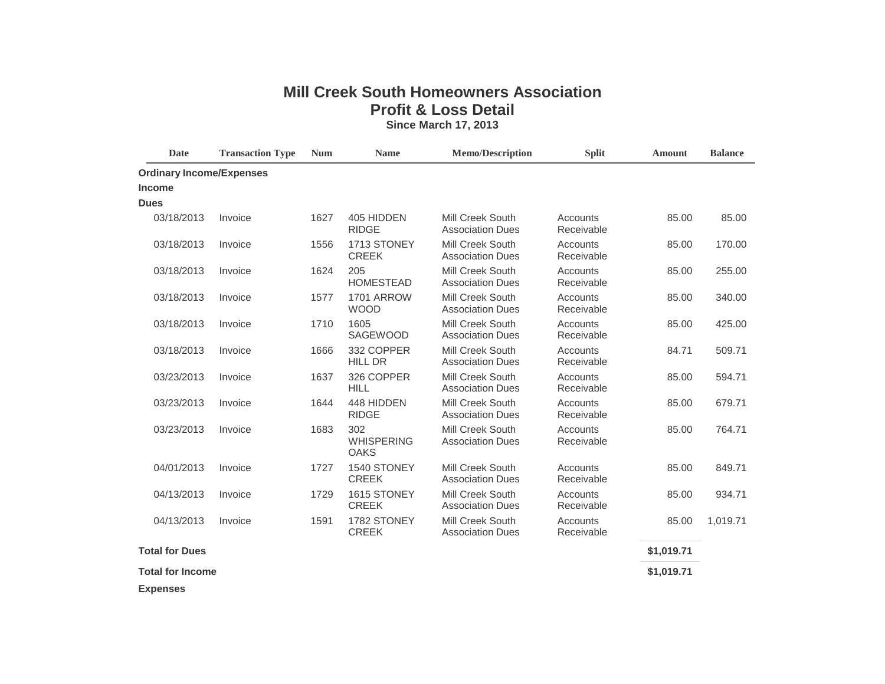## **Mill Creek South Homeowners Association Profit & Loss Detail Since March 17, 2013**

| <b>Date</b>                     | <b>Transaction Type</b> | <b>Num</b> | <b>Name</b>                             | <b>Memo/Description</b>                            | <b>Split</b>           | <b>Amount</b> | <b>Balance</b> |
|---------------------------------|-------------------------|------------|-----------------------------------------|----------------------------------------------------|------------------------|---------------|----------------|
| <b>Ordinary Income/Expenses</b> |                         |            |                                         |                                                    |                        |               |                |
| <b>Income</b>                   |                         |            |                                         |                                                    |                        |               |                |
| <b>Dues</b>                     |                         |            |                                         |                                                    |                        |               |                |
| 03/18/2013                      | Invoice                 | 1627       | 405 HIDDEN<br><b>RIDGE</b>              | Mill Creek South<br><b>Association Dues</b>        | Accounts<br>Receivable | 85.00         | 85.00          |
| 03/18/2013                      | Invoice                 | 1556       | 1713 STONEY<br><b>CREEK</b>             | Mill Creek South<br><b>Association Dues</b>        | Accounts<br>Receivable | 85.00         | 170.00         |
| 03/18/2013                      | Invoice                 | 1624       | 205<br><b>HOMESTEAD</b>                 | Mill Creek South<br><b>Association Dues</b>        | Accounts<br>Receivable | 85.00         | 255.00         |
| 03/18/2013                      | Invoice                 | 1577       | 1701 ARROW<br><b>WOOD</b>               | Mill Creek South<br><b>Association Dues</b>        | Accounts<br>Receivable | 85.00         | 340.00         |
| 03/18/2013                      | Invoice                 | 1710       | 1605<br>SAGEWOOD                        | <b>Mill Creek South</b><br><b>Association Dues</b> | Accounts<br>Receivable | 85.00         | 425.00         |
| 03/18/2013                      | Invoice                 | 1666       | 332 COPPER<br><b>HILL DR</b>            | <b>Mill Creek South</b><br><b>Association Dues</b> | Accounts<br>Receivable | 84.71         | 509.71         |
| 03/23/2013                      | Invoice                 | 1637       | 326 COPPER<br><b>HILL</b>               | Mill Creek South<br><b>Association Dues</b>        | Accounts<br>Receivable | 85.00         | 594.71         |
| 03/23/2013                      | Invoice                 | 1644       | 448 HIDDEN<br><b>RIDGE</b>              | Mill Creek South<br><b>Association Dues</b>        | Accounts<br>Receivable | 85.00         | 679.71         |
| 03/23/2013                      | Invoice                 | 1683       | 302<br><b>WHISPERING</b><br><b>OAKS</b> | <b>Mill Creek South</b><br><b>Association Dues</b> | Accounts<br>Receivable | 85.00         | 764.71         |
| 04/01/2013                      | Invoice                 | 1727       | 1540 STONEY<br><b>CREEK</b>             | Mill Creek South<br><b>Association Dues</b>        | Accounts<br>Receivable | 85.00         | 849.71         |
| 04/13/2013                      | Invoice                 | 1729       | 1615 STONEY<br><b>CREEK</b>             | <b>Mill Creek South</b><br><b>Association Dues</b> | Accounts<br>Receivable | 85.00         | 934.71         |
| 04/13/2013                      | Invoice                 | 1591       | 1782 STONEY<br><b>CREEK</b>             | Mill Creek South<br><b>Association Dues</b>        | Accounts<br>Receivable | 85.00         | 1,019.71       |
| <b>Total for Dues</b>           |                         |            |                                         |                                                    |                        | \$1,019.71    |                |
| <b>Total for Income</b>         |                         |            |                                         |                                                    |                        | \$1,019.71    |                |
| <b>Expenses</b>                 |                         |            |                                         |                                                    |                        |               |                |